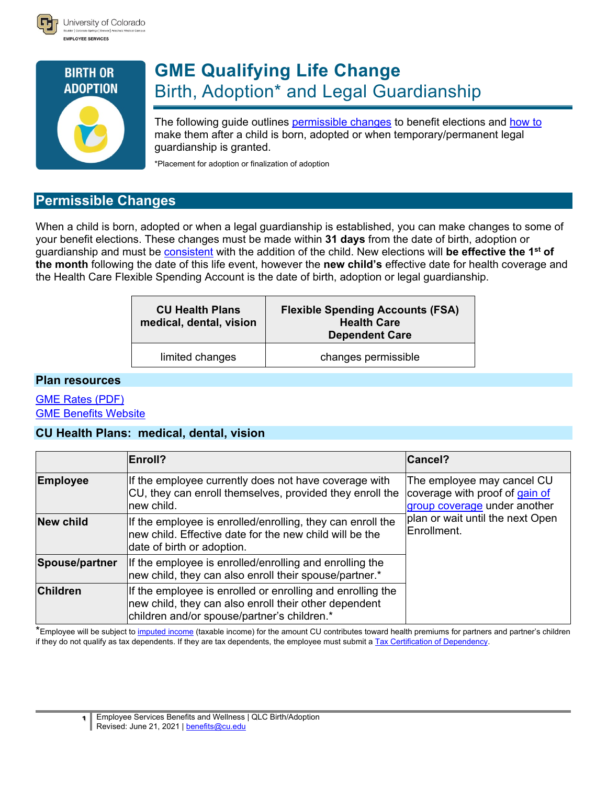



# **GME Qualifying Life Change** Birth, Adoption\* and Legal Guardianship

The following guide outlines [permissible changes](#page-0-0) to benefit elections and [how to](#page-1-0) make them after a child is born, adopted or when temporary/permanent legal guardianship is granted.

<span id="page-0-0"></span>\*Placement for adoption or finalization of adoption

# **Permissible Changes**

When a child is born, adopted or when a legal guardianship is established, you can make changes to some of your benefit elections. These changes must be made within **31 days** from the date of birth, adoption or guardianship and must be [consistent](#page-2-0) with the addition of the child. New elections will **be effective the 1st of the month** following the date of this life event, however the **new child's** effective date for health coverage and the Health Care Flexible Spending Account is the date of birth, adoption or legal guardianship.

| <b>CU Health Plans</b><br>medical, dental, vision | <b>Flexible Spending Accounts (FSA)</b><br><b>Health Care</b><br><b>Dependent Care</b> |  |
|---------------------------------------------------|----------------------------------------------------------------------------------------|--|
| limited changes                                   | changes permissible                                                                    |  |

#### **Plan resources**

### [GME Rates \(PDF\)](http://www.cu.edu/node/244193) [GME Benefits Website](http://www.cu.edu/node/244049)

### **CU Health Plans: medical, dental, vision**

|                                                                                                                                                                                       | <b>Enroll?</b>                                                                                                                                       | <b>Cancel?</b>                                                                               |  |
|---------------------------------------------------------------------------------------------------------------------------------------------------------------------------------------|------------------------------------------------------------------------------------------------------------------------------------------------------|----------------------------------------------------------------------------------------------|--|
| <b>Employee</b>                                                                                                                                                                       | If the employee currently does not have coverage with<br>CU, they can enroll themselves, provided they enroll the<br>lnew child.                     | The employee may cancel CU<br>coverage with proof of gain of<br>group coverage under another |  |
| <b>New child</b>                                                                                                                                                                      | If the employee is enrolled/enrolling, they can enroll the<br>Inew child. Effective date for the new child will be the<br>date of birth or adoption. | plan or wait until the next Open<br>Enrollment.                                              |  |
| If the employee is enrolled/enrolling and enrolling the<br>Spouse/partner<br>new child, they can also enroll their spouse/partner.*                                                   |                                                                                                                                                      |                                                                                              |  |
| <b>Children</b><br>If the employee is enrolled or enrolling and enrolling the<br>new child, they can also enroll their other dependent<br>children and/or spouse/partner's children.* |                                                                                                                                                      |                                                                                              |  |

\*Employee will be subject to [imputed income](http://www.cu.edu/node/56977) (taxable income) for the amount CU contributes toward health premiums for partners and partner's children if they do not qualify as tax dependents. If they are tax dependents, the employee must submit a [Tax Certification of Dependency.](http://www.cu.edu/node/164116)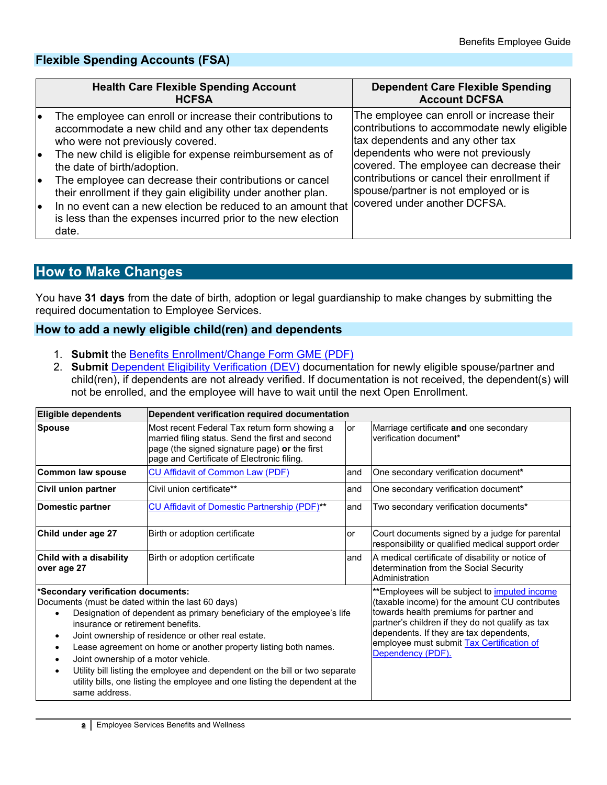# **Flexible Spending Accounts (FSA)**

|                | <b>Health Care Flexible Spending Account</b><br><b>HCFSA</b>                                                                                                                                                                                                                                                                 | <b>Dependent Care Flexible Spending</b><br><b>Account DCFSA</b>                                                                                                    |
|----------------|------------------------------------------------------------------------------------------------------------------------------------------------------------------------------------------------------------------------------------------------------------------------------------------------------------------------------|--------------------------------------------------------------------------------------------------------------------------------------------------------------------|
|                | The employee can enroll or increase their contributions to<br>accommodate a new child and any other tax dependents<br>who were not previously covered.<br>The new child is eligible for expense reimbursement as of                                                                                                          | The employee can enroll or increase their<br>contributions to accommodate newly eligible<br>tax dependents and any other tax<br>dependents who were not previously |
| le<br>le<br>le | the date of birth/adoption.<br>The employee can decrease their contributions or cancel<br>their enrollment if they gain eligibility under another plan.<br>In no event can a new election be reduced to an amount that covered under another DCFSA.<br>is less than the expenses incurred prior to the new election<br>date. | covered. The employee can decrease their<br>contributions or cancel their enrollment if<br>spouse/partner is not employed or is                                    |

# <span id="page-1-0"></span>**How to Make Changes**

You have **31 days** from the date of birth, adoption or legal guardianship to make changes by submitting the required documentation to Employee [Services.](#page-2-1)

### **How to add a newly eligible child(ren) and dependents**

- 1. **Submit** the [Benefits Enrollment/Change Form GME](http://www.cu.edu/node/285231) (PDF)
- 2. **Submit** [Dependent Eligibility Verification \(DEV\)](https://content.cu.edu/EP/redirect/DependentEligibilityVerification/) documentation for newly eligible spouse/partner and child(ren), if dependents are not already verified. If documentation is not received, the dependent(s) will not be enrolled, and the employee will have to wait until the next Open Enrollment.

| Eligible dependents                                                                                                                                                                                                                                                                                                                                                                                                                                                                                                                                                                                        | Dependent verification required documentation                                                                                                                                                    |      |                                                                                                                                                                                                                                                                                                                    |  |  |
|------------------------------------------------------------------------------------------------------------------------------------------------------------------------------------------------------------------------------------------------------------------------------------------------------------------------------------------------------------------------------------------------------------------------------------------------------------------------------------------------------------------------------------------------------------------------------------------------------------|--------------------------------------------------------------------------------------------------------------------------------------------------------------------------------------------------|------|--------------------------------------------------------------------------------------------------------------------------------------------------------------------------------------------------------------------------------------------------------------------------------------------------------------------|--|--|
| <b>Spouse</b>                                                                                                                                                                                                                                                                                                                                                                                                                                                                                                                                                                                              | Most recent Federal Tax return form showing a<br>married filing status. Send the first and second<br>page (the signed signature page) or the first<br>page and Certificate of Electronic filing. | lor  | Marriage certificate and one secondary<br>verification document*                                                                                                                                                                                                                                                   |  |  |
| Common law spouse                                                                                                                                                                                                                                                                                                                                                                                                                                                                                                                                                                                          | <b>CU Affidavit of Common Law (PDF)</b>                                                                                                                                                          | land | One secondary verification document*                                                                                                                                                                                                                                                                               |  |  |
| Civil union partner                                                                                                                                                                                                                                                                                                                                                                                                                                                                                                                                                                                        | Civil union certificate**                                                                                                                                                                        | land | One secondary verification document*                                                                                                                                                                                                                                                                               |  |  |
| Domestic partner                                                                                                                                                                                                                                                                                                                                                                                                                                                                                                                                                                                           | <b>CU Affidavit of Domestic Partnership (PDF)**</b>                                                                                                                                              | land | Two secondary verification documents*                                                                                                                                                                                                                                                                              |  |  |
| Child under age 27                                                                                                                                                                                                                                                                                                                                                                                                                                                                                                                                                                                         | Birth or adoption certificate                                                                                                                                                                    | lor  | Court documents signed by a judge for parental<br>responsibility or qualified medical support order                                                                                                                                                                                                                |  |  |
| Child with a disability<br>over age 27                                                                                                                                                                                                                                                                                                                                                                                                                                                                                                                                                                     | Birth or adoption certificate                                                                                                                                                                    | land | A medical certificate of disability or notice of<br>determination from the Social Security<br>Administration                                                                                                                                                                                                       |  |  |
| *Secondary verification documents:<br>Documents (must be dated within the last 60 days)<br>Designation of dependent as primary beneficiary of the employee's life<br>insurance or retirement benefits.<br>Joint ownership of residence or other real estate.<br>$\bullet$<br>Lease agreement on home or another property listing both names.<br>$\bullet$<br>Joint ownership of a motor vehicle.<br>$\bullet$<br>Utility bill listing the employee and dependent on the bill or two separate<br>$\bullet$<br>utility bills, one listing the employee and one listing the dependent at the<br>same address. |                                                                                                                                                                                                  |      | **Employees will be subject to <i>imputed</i> income<br>(taxable income) for the amount CU contributes<br>towards health premiums for partner and<br>partner's children if they do not qualify as tax<br>dependents. If they are tax dependents,<br>employee must submit Tax Certification of<br>Dependency (PDF). |  |  |